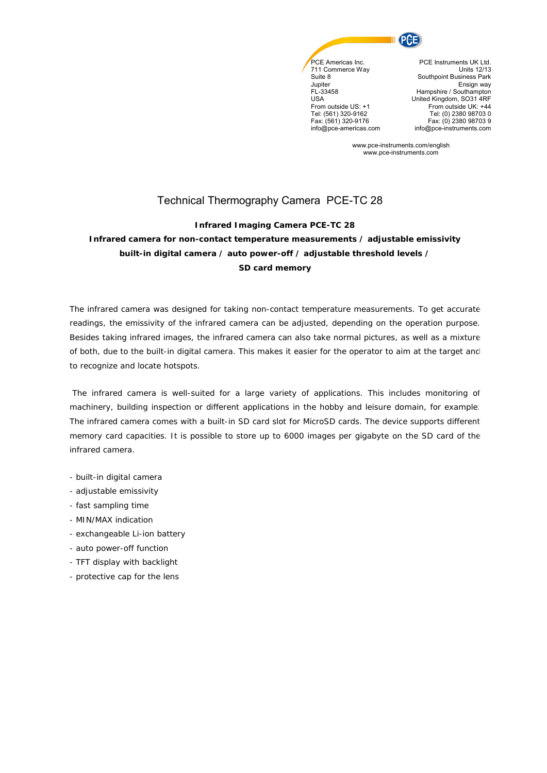

Suite 8 Jupiter FL-33458 USA From outside US: +1 Tel: (561) 320-9162 Fax: (561) 320-9176 info@pce-americas.com

PCE Instruments UK Ltd. Units 12/13 Southpoint Business Park Ensign way Hampshire / Southampton United Kingdom, SO31 4RF From outside UK: +44 Tel: (0) 2380 98703 0 Fax: (0) 2380 98703 9 info@pce-instruments.com

www.pce-instruments.com/english www.pce-instruments.com

# Technical Thermography Camera PCE-TC 28

#### **Infrared Imaging Camera PCE-TC 28**

## **Infrared camera for non-contact temperature measurements / adjustable emissivity built-in digital camera / auto power-off / adjustable threshold levels / SD card memory**

The infrared camera was designed for taking non-contact temperature measurements. To get accurate readings, the emissivity of the infrared camera can be adjusted, depending on the operation purpose. Besides taking infrared images, the infrared camera can also take normal pictures, as well as a mixture of both, due to the built-in digital camera. This makes it easier for the operator to aim at the target and to recognize and locate hotspots.

The infrared camera is well-suited for a large variety of applications. This includes monitoring of machinery, building inspection or different applications in the hobby and leisure domain, for example. The infrared camera comes with a built-in SD card slot for MicroSD cards. The device supports different memory card capacities. It is possible to store up to 6000 images per gigabyte on the SD card of the infrared camera.

- built-in digital camera
- adjustable emissivity
- fast sampling time
- MIN/MAX indication
- exchangeable Li-ion battery
- auto power-off function
- TFT display with backlight
- protective cap for the lens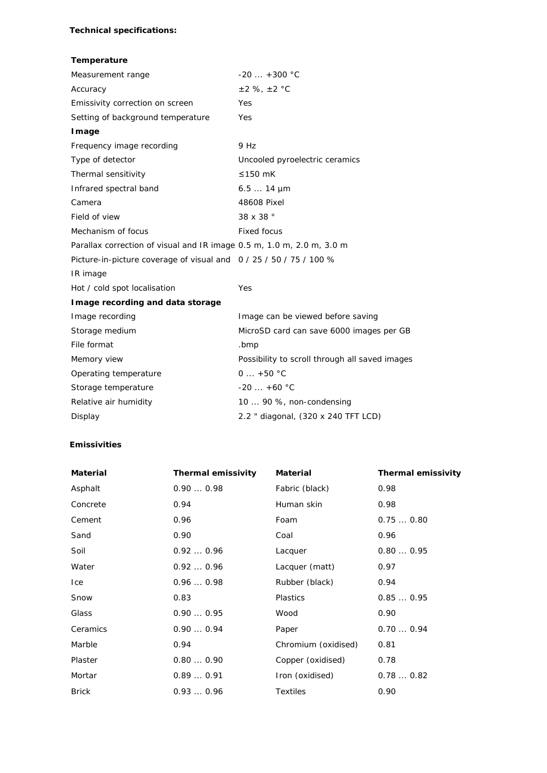#### **Technical specifications:**

#### **Temperature**

| Measurement range                                                     | $-20$ $+300$ °C                                |
|-----------------------------------------------------------------------|------------------------------------------------|
| Accuracy                                                              | $±2$ %, $±2$ °C                                |
| Emissivity correction on screen                                       | Yes                                            |
| Setting of background temperature                                     | Yes                                            |
| Image                                                                 |                                                |
| Frequency image recording                                             | 9 Hz                                           |
| Type of detector                                                      | Uncooled pyroelectric ceramics                 |
| Thermal sensitivity                                                   | ≤150 $mK$                                      |
| Infrared spectral band                                                | $6.514 \mu m$                                  |
| Camera                                                                | 48608 Pixel                                    |
| Field of view                                                         | 38 x 38 °                                      |
| Mechanism of focus                                                    | <b>Fixed focus</b>                             |
| Parallax correction of visual and IR image 0.5 m, 1.0 m, 2.0 m, 3.0 m |                                                |
| Picture-in-picture coverage of visual and 0 / 25 / 50 / 75 / 100 %    |                                                |
| IR image                                                              |                                                |
| Hot / cold spot localisation                                          | Yes                                            |
| Image recording and data storage                                      |                                                |
| Image recording                                                       | Image can be viewed before saving              |
| Storage medium                                                        | MicroSD card can save 6000 images per GB       |
| File format                                                           | .bmp                                           |
| Memory view                                                           | Possibility to scroll through all saved images |
| Operating temperature                                                 | $0 + 50 °C$                                    |
| Storage temperature                                                   | $-20 +60$ °C                                   |
| Relative air humidity                                                 | 10  90 %, non-condensing                       |
| Display                                                               | 2.2 " diagonal, (320 x 240 TFT LCD)            |
|                                                                       |                                                |

### **Emissivities**

| <b>Material</b> | <b>Thermal emissivity</b> | <b>Material</b>     | <b>Thermal emissivity</b> |
|-----------------|---------------------------|---------------------|---------------------------|
| Asphalt         | 0.900.98                  | Fabric (black)      | 0.98                      |
| Concrete        | 0.94                      | Human skin          | 0.98                      |
| Cement          | 0.96                      | Foam                | 0.750.80                  |
| Sand            | 0.90                      | Coal                | 0.96                      |
| Soil            | 0.920.96                  | Lacquer             | 0.800.95                  |
| Water           | 0.920.96                  | Lacquer (matt)      | 0.97                      |
| Ice             | 0.960.98                  | Rubber (black)      | 0.94                      |
| Snow            | 0.83                      | Plastics            | 0.850.95                  |
| Glass           | 0.900.95                  | Wood                | 0.90                      |
| Ceramics        | 0.900.94                  | Paper               | 0.700.94                  |
| Marble          | 0.94                      | Chromium (oxidised) | 0.81                      |
| Plaster         | 0.800.90                  | Copper (oxidised)   | 0.78                      |
| Mortar          | 0.890.91                  | Iron (oxidised)     | 0.780.82                  |
| <b>Brick</b>    | 0.930.96                  | <b>Textiles</b>     | 0.90                      |